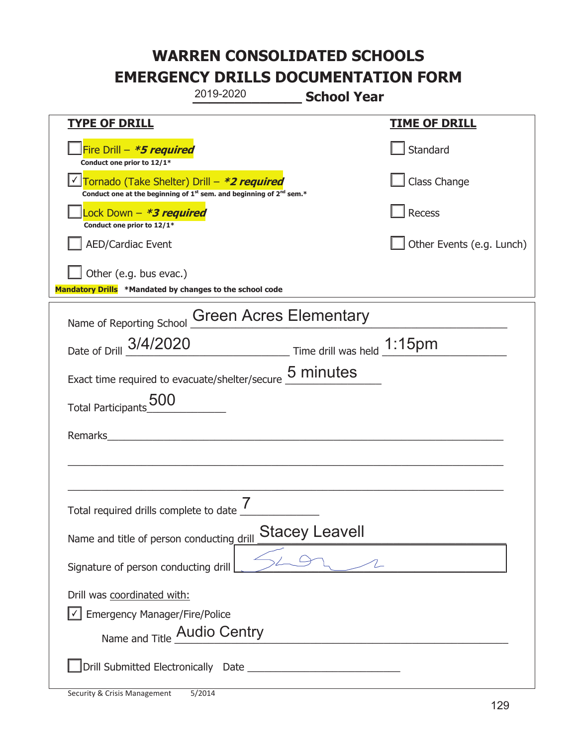|                                                                                    | 2019-2020                                                                                   | <b>School Year</b>                                    |                           |
|------------------------------------------------------------------------------------|---------------------------------------------------------------------------------------------|-------------------------------------------------------|---------------------------|
| <u>TYPE OF DRILL</u>                                                               |                                                                                             |                                                       | <b>TIME OF DRILL</b>      |
| Fire Drill - *5 required<br>Conduct one prior to 12/1*                             |                                                                                             |                                                       | Standard                  |
| Tornado (Take Shelter) Drill – *2 required                                         | Conduct one at the beginning of 1 <sup>st</sup> sem. and beginning of 2 <sup>nd</sup> sem.* |                                                       | Class Change              |
| Lock Down - *3 required<br>Conduct one prior to 12/1*                              |                                                                                             |                                                       | Recess                    |
| <b>AED/Cardiac Event</b>                                                           |                                                                                             |                                                       | Other Events (e.g. Lunch) |
| Other (e.g. bus evac.)<br>Mandatory Drills *Mandated by changes to the school code |                                                                                             |                                                       |                           |
| Name of Reporting School                                                           | <b>Green Acres Elementary</b>                                                               |                                                       |                           |
| Date of Drill 3/4/2020                                                             |                                                                                             | $\frac{1.15}{1}$ Time drill was held $\frac{1.15}{1}$ |                           |
| Exact time required to evacuate/shelter/secure 5 minutes                           |                                                                                             |                                                       |                           |
| <b>Total Participants</b>                                                          |                                                                                             |                                                       |                           |
| Remarks                                                                            |                                                                                             |                                                       |                           |
|                                                                                    |                                                                                             |                                                       |                           |
|                                                                                    |                                                                                             |                                                       |                           |
| Name and title of person conducting drill                                          |                                                                                             | <b>Stacey Leavell</b>                                 |                           |
| Signature of person conducting drill                                               |                                                                                             |                                                       |                           |
| Drill was coordinated with:<br>Emergency Manager/Fire/Police                       |                                                                                             |                                                       |                           |
| Name and Title Audio Centry                                                        |                                                                                             |                                                       |                           |
|                                                                                    |                                                                                             |                                                       |                           |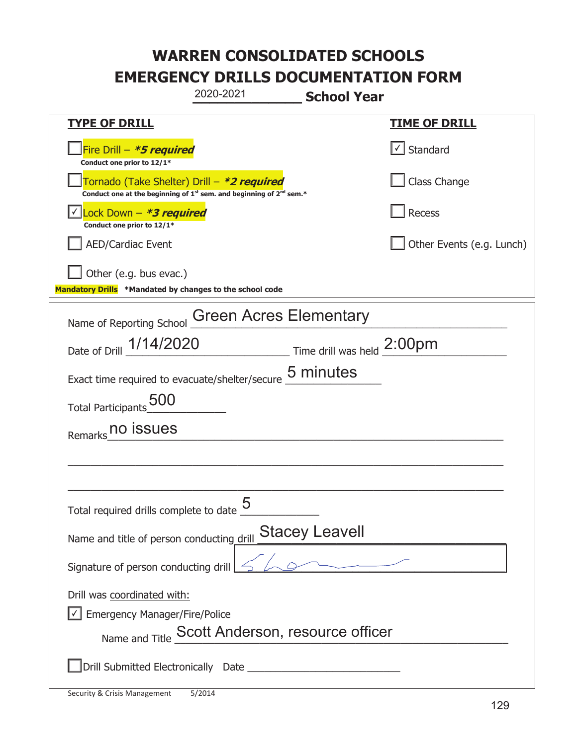|                                                                                                                                           | 2020-2021                                       | <b>School Year</b>    |                           |
|-------------------------------------------------------------------------------------------------------------------------------------------|-------------------------------------------------|-----------------------|---------------------------|
| <u>TYPE OF DRILL</u>                                                                                                                      |                                                 |                       | <b>TIME OF DRILL</b>      |
| Fire Drill - *5 required<br>Conduct one prior to 12/1*                                                                                    |                                                 |                       | √ Standard                |
| Tornado (Take Shelter) Drill – *2 required<br>Conduct one at the beginning of 1 <sup>st</sup> sem. and beginning of 2 <sup>nd</sup> sem.* |                                                 |                       | Class Change              |
| Lock Down - *3 required<br>Conduct one prior to 12/1*                                                                                     |                                                 |                       | Recess                    |
| <b>AED/Cardiac Event</b>                                                                                                                  |                                                 |                       | Other Events (e.g. Lunch) |
| Other (e.g. bus evac.)<br>Mandatory Drills *Mandated by changes to the school code                                                        |                                                 |                       |                           |
| Name of Reporting School                                                                                                                  | <b>Green Acres Elementary</b>                   |                       |                           |
| Date of Drill 1/14/2020                                                                                                                   | Time drill was held 2:00pm                      |                       |                           |
| Exact time required to evacuate/shelter/secure 5 minutes                                                                                  |                                                 |                       |                           |
| Total Participants_000                                                                                                                    |                                                 |                       |                           |
| no issues<br>Remarks                                                                                                                      |                                                 |                       |                           |
|                                                                                                                                           |                                                 |                       |                           |
|                                                                                                                                           |                                                 |                       |                           |
| Total required drills complete to date                                                                                                    | <u> Қ</u>                                       |                       |                           |
| Name and title of person conducting drill                                                                                                 |                                                 | <b>Stacey Leavell</b> |                           |
| Signature of person conducting drill                                                                                                      |                                                 | $\sim$ $\sim$ $\sim$  |                           |
| Drill was coordinated with:<br><b>Emergency Manager/Fire/Police</b>                                                                       | Name and Title Scott Anderson, resource officer |                       |                           |
|                                                                                                                                           |                                                 |                       |                           |

T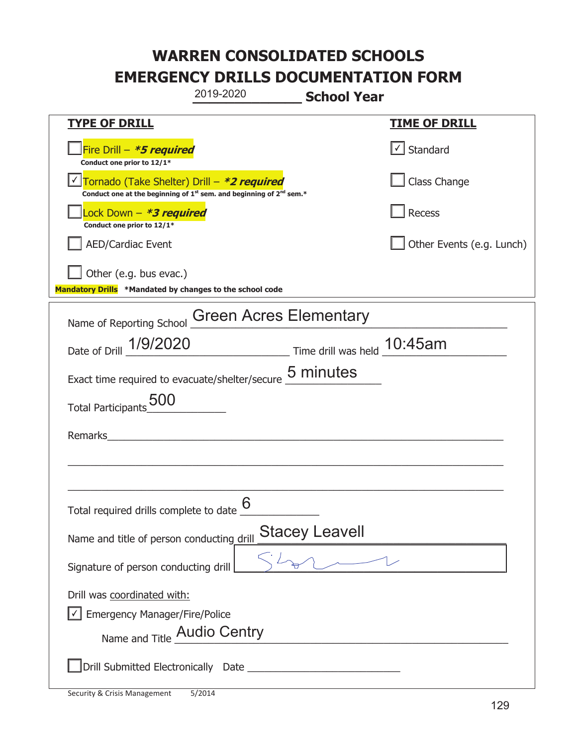|                                                                                                                                           | 2019-2020                     | <b>School Year</b>                                |                                   |
|-------------------------------------------------------------------------------------------------------------------------------------------|-------------------------------|---------------------------------------------------|-----------------------------------|
| <b>TYPE OF DRILL</b>                                                                                                                      |                               |                                                   | <u>TIME OF DRILL</u>              |
| Fire Drill $-$ <b>*5 required</b><br>Conduct one prior to 12/1*                                                                           |                               |                                                   | $\lfloor \angle \rfloor$ Standard |
| Tornado (Take Shelter) Drill – *2 required<br>Conduct one at the beginning of 1 <sup>st</sup> sem. and beginning of 2 <sup>nd</sup> sem.* |                               |                                                   | Class Change                      |
| Lock Down - <b>*3 required</b><br>Conduct one prior to 12/1*                                                                              |                               |                                                   | Recess                            |
| <b>AED/Cardiac Event</b>                                                                                                                  |                               |                                                   | Other Events (e.g. Lunch)         |
| Other (e.g. bus evac.)<br>Mandatory Drills *Mandated by changes to the school code                                                        |                               |                                                   |                                   |
| Name of Reporting School                                                                                                                  | <b>Green Acres Elementary</b> |                                                   |                                   |
| Date of Drill 1/9/2020                                                                                                                    |                               | Time drill was held 10:45am                       |                                   |
| Exact time required to evacuate/shelter/secure 5 minutes                                                                                  |                               |                                                   |                                   |
| <b>Total Participants</b>                                                                                                                 |                               |                                                   |                                   |
| Remarks                                                                                                                                   |                               |                                                   |                                   |
|                                                                                                                                           |                               |                                                   |                                   |
|                                                                                                                                           |                               |                                                   |                                   |
| Total required drills complete to date $6 \over$                                                                                          |                               |                                                   |                                   |
| Name and title of person conducting drill                                                                                                 |                               | Stacey Leavell                                    |                                   |
| Signature of person conducting drill                                                                                                      |                               | $\gamma$                                          |                                   |
| Drill was coordinated with:                                                                                                               |                               |                                                   |                                   |
| <b>Emergency Manager/Fire/Police</b>                                                                                                      |                               |                                                   |                                   |
| Name and Title Audio Centry                                                                                                               |                               | <u> 1980 - Johann Barbara, martxa alemaniar a</u> |                                   |
|                                                                                                                                           |                               |                                                   |                                   |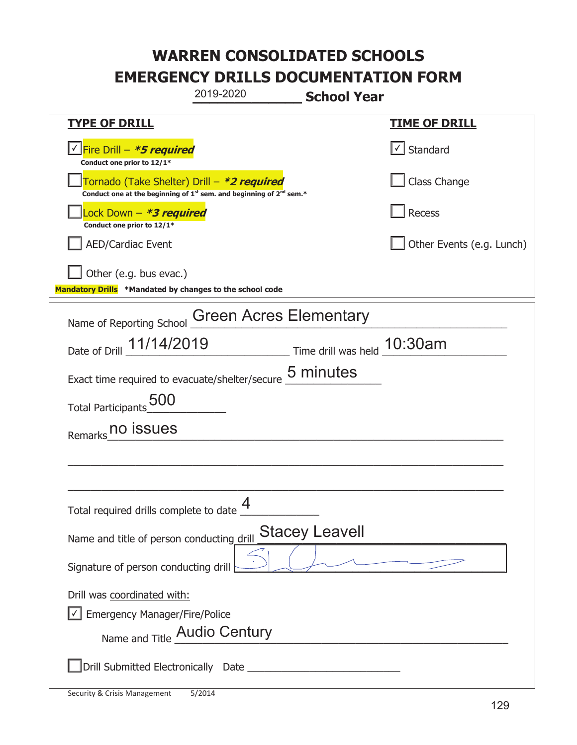|                                                                                    | 2019-2020                                                                                   | <b>School Year</b>                    |                           |
|------------------------------------------------------------------------------------|---------------------------------------------------------------------------------------------|---------------------------------------|---------------------------|
| <b>TYPE OF DRILL</b>                                                               |                                                                                             |                                       | <b>TIME OF DRILL</b>      |
| Fire Drill - <b>*5 required</b><br>Conduct one prior to 12/1*                      |                                                                                             |                                       | $\cup$ Standard           |
| Tornado (Take Shelter) Drill – *2 required                                         | Conduct one at the beginning of 1 <sup>st</sup> sem. and beginning of 2 <sup>nd</sup> sem.* |                                       | Class Change              |
| Lock Down - <b>*3 required</b><br>Conduct one prior to 12/1*                       |                                                                                             |                                       | Recess                    |
| <b>AED/Cardiac Event</b>                                                           |                                                                                             |                                       | Other Events (e.g. Lunch) |
| Other (e.g. bus evac.)<br>Mandatory Drills *Mandated by changes to the school code |                                                                                             |                                       |                           |
| Name of Reporting School                                                           | <b>Green Acres Elementary</b>                                                               |                                       |                           |
| Date of Drill 11/14/2019                                                           |                                                                                             | $\_$ Time drill was held $\_$ 10:30am |                           |
| Exact time required to evacuate/shelter/secure 5 minutes                           |                                                                                             |                                       |                           |
| Total Participants 500                                                             |                                                                                             |                                       |                           |
| Remarks no issues                                                                  |                                                                                             |                                       |                           |
|                                                                                    |                                                                                             |                                       |                           |
|                                                                                    |                                                                                             |                                       |                           |
| Total required drills complete to date $\Box$                                      | 4                                                                                           |                                       |                           |
| Name and title of person conducting drill                                          |                                                                                             | <b>Stacey Leavell</b>                 |                           |
| Signature of person conducting drill                                               |                                                                                             |                                       |                           |
| Drill was coordinated with:                                                        |                                                                                             |                                       |                           |
| <b>Emergency Manager/Fire/Police</b>                                               |                                                                                             |                                       |                           |
| Name and Title Audio Century                                                       |                                                                                             |                                       |                           |
|                                                                                    |                                                                                             |                                       |                           |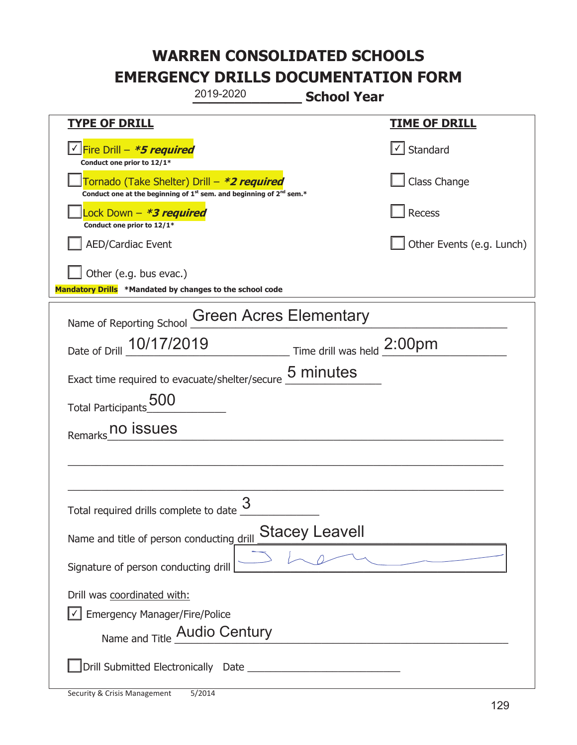|                                                                                    | 2019-2020                                                                                   | <b>School Year</b>                                |                           |
|------------------------------------------------------------------------------------|---------------------------------------------------------------------------------------------|---------------------------------------------------|---------------------------|
| <b>TYPE OF DRILL</b>                                                               |                                                                                             |                                                   | <b>TIME OF DRILL</b>      |
| Fire Drill - *5 required<br>Conduct one prior to 12/1*                             |                                                                                             |                                                   | $\cup$ Standard           |
| Tornado (Take Shelter) Drill – *2 required                                         | Conduct one at the beginning of 1 <sup>st</sup> sem. and beginning of 2 <sup>nd</sup> sem.* |                                                   | Class Change              |
| Lock Down - <b>*3 required</b><br>Conduct one prior to 12/1*                       |                                                                                             |                                                   | Recess                    |
| <b>AED/Cardiac Event</b>                                                           |                                                                                             |                                                   | Other Events (e.g. Lunch) |
| Other (e.g. bus evac.)<br>Mandatory Drills *Mandated by changes to the school code |                                                                                             |                                                   |                           |
| Name of Reporting School                                                           | <b>Green Acres Elementary</b>                                                               |                                                   |                           |
| Date of Drill 10/17/2019                                                           |                                                                                             | $\_$ Time drill was held $\frac{\text{2:00pm}}{}$ |                           |
| Exact time required to evacuate/shelter/secure 5 minutes                           |                                                                                             |                                                   |                           |
| Total Participants 500                                                             |                                                                                             |                                                   |                           |
| Remarks no issues                                                                  |                                                                                             |                                                   |                           |
|                                                                                    |                                                                                             |                                                   |                           |
|                                                                                    |                                                                                             |                                                   |                           |
| Total required drills complete to date U                                           | 3                                                                                           |                                                   |                           |
| Name and title of person conducting drill                                          |                                                                                             | <b>Stacey Leavell</b>                             |                           |
| Signature of person conducting drill                                               |                                                                                             |                                                   |                           |
| Drill was coordinated with:                                                        |                                                                                             |                                                   |                           |
| <b>Emergency Manager/Fire/Police</b>                                               |                                                                                             |                                                   |                           |
| Name and Title Audio Century                                                       |                                                                                             |                                                   |                           |
|                                                                                    |                                                                                             |                                                   |                           |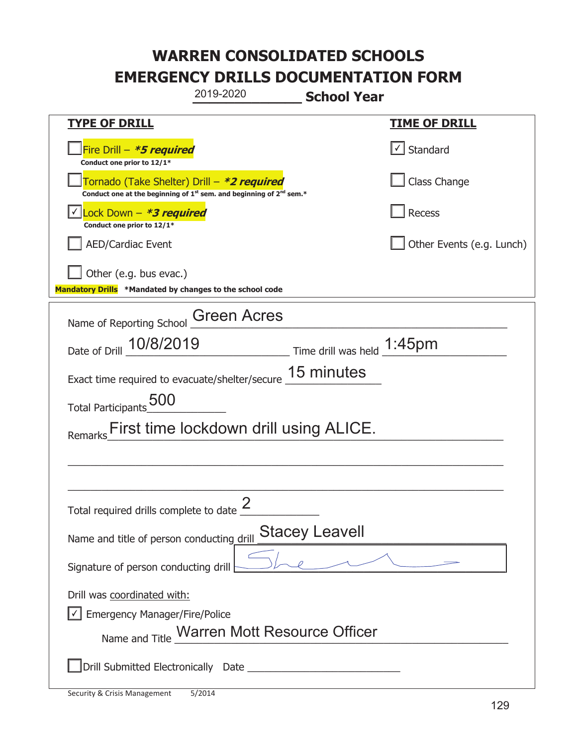|                                                                                                                                           | 2019-2020                                   | <b>School Year</b>            |                           |  |
|-------------------------------------------------------------------------------------------------------------------------------------------|---------------------------------------------|-------------------------------|---------------------------|--|
| <u>TYPE OF DRILL</u>                                                                                                                      |                                             |                               | <u>TIME OF DRILL</u>      |  |
| Fire Drill - *5 required<br>Conduct one prior to 12/1*                                                                                    |                                             |                               | Standard                  |  |
| Tornado (Take Shelter) Drill – *2 required<br>Conduct one at the beginning of 1 <sup>st</sup> sem. and beginning of 2 <sup>nd</sup> sem.* |                                             |                               | Class Change              |  |
| Lock Down - *3 required<br>Conduct one prior to 12/1*                                                                                     |                                             |                               | Recess                    |  |
| <b>AED/Cardiac Event</b>                                                                                                                  |                                             |                               | Other Events (e.g. Lunch) |  |
| Other (e.g. bus evac.)<br>Mandatory Drills *Mandated by changes to the school code                                                        |                                             |                               |                           |  |
| Name of Reporting School                                                                                                                  | <b>Green Acres</b>                          |                               |                           |  |
| Date of Drill 10/8/2019                                                                                                                   |                                             | Time drill was held $1:45$ pm |                           |  |
| Exact time required to evacuate/shelter/secure                                                                                            |                                             | 15 minutes                    |                           |  |
| Total Participants_500                                                                                                                    |                                             |                               |                           |  |
| First time lockdown drill using ALICE.                                                                                                    |                                             |                               |                           |  |
|                                                                                                                                           |                                             |                               |                           |  |
|                                                                                                                                           |                                             |                               |                           |  |
| Total required drills complete to date $\overline{\phantom{a}}$                                                                           | ク                                           |                               |                           |  |
| <b>Stacey Leavell</b><br>Name and title of person conducting drill                                                                        |                                             |                               |                           |  |
| Signature of person conducting drill                                                                                                      |                                             |                               |                           |  |
| Drill was coordinated with:<br><b>Emergency Manager/Fire/Police</b>                                                                       | Name and Title Warren Mott Resource Officer |                               |                           |  |
|                                                                                                                                           |                                             |                               |                           |  |

T